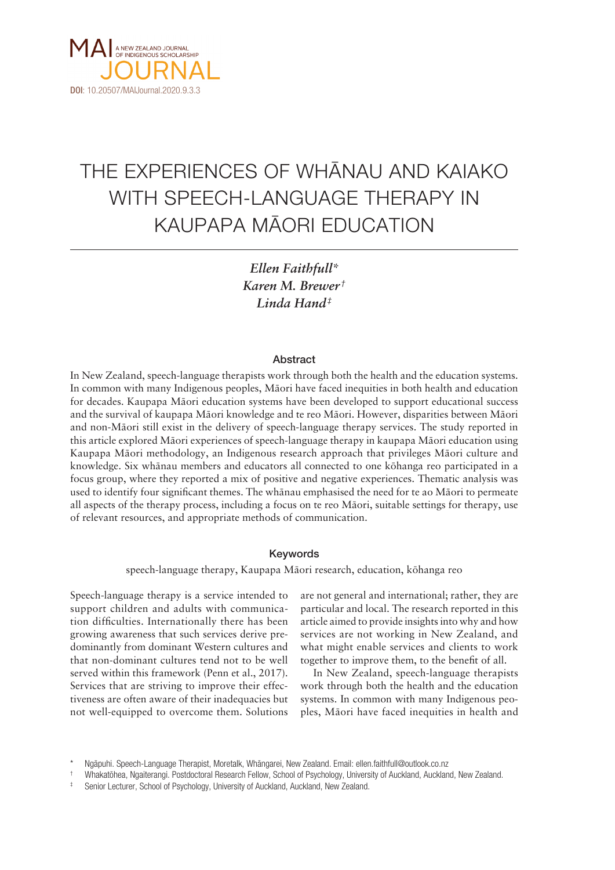

# THE EXPERIENCES OF WHÄNAU AND KAIAKO WITH SPEECH-LANGUAGE THERAPY IN KAUPAPA MÄORI EDUCATION

*Ellen Faithfull\* Karen M. Brewer † Linda Hand‡*

#### **Abstract**

In New Zealand, speech-language therapists work through both the health and the education systems. In common with many Indigenous peoples, Mäori have faced inequities in both health and education for decades. Kaupapa Mäori education systems have been developed to support educational success and the survival of kaupapa Mäori knowledge and te reo Mäori. However, disparities between Mäori and non-Mäori still exist in the delivery of speech-language therapy services. The study reported in this article explored Mäori experiences of speech-language therapy in kaupapa Mäori education using Kaupapa Mäori methodology, an Indigenous research approach that privileges Mäori culture and knowledge. Six whänau members and educators all connected to one köhanga reo participated in a focus group, where they reported a mix of positive and negative experiences. Thematic analysis was used to identify four significant themes. The whänau emphasised the need for te ao Mäori to permeate all aspects of the therapy process, including a focus on te reo Mäori, suitable settings for therapy, use of relevant resources, and appropriate methods of communication.

#### Keywords

speech-language therapy, Kaupapa Mäori research, education, köhanga reo

Speech-language therapy is a service intended to support children and adults with communication difficulties. Internationally there has been growing awareness that such services derive predominantly from dominant Western cultures and that non-dominant cultures tend not to be well served within this framework (Penn et al., 2017). Services that are striving to improve their effectiveness are often aware of their inadequacies but not well-equipped to overcome them. Solutions

are not general and international; rather, they are particular and local. The research reported in this article aimed to provide insights into why and how services are not working in New Zealand, and what might enable services and clients to work together to improve them, to the benefit of all.

In New Zealand, speech-language therapists work through both the health and the education systems. In common with many Indigenous peoples, Mäori have faced inequities in health and

<sup>\*</sup> Ngäpuhi. Speech-Language Therapist, Moretalk, Whängarei, New Zealand. Email: ellen.faithfull@outlook.co.nz

<sup>†</sup> Whakatöhea, Ngaiterangi. Postdoctoral Research Fellow, School of Psychology, University of Auckland, Auckland, New Zealand.

Senior Lecturer, School of Psychology, University of Auckland, Auckland, New Zealand.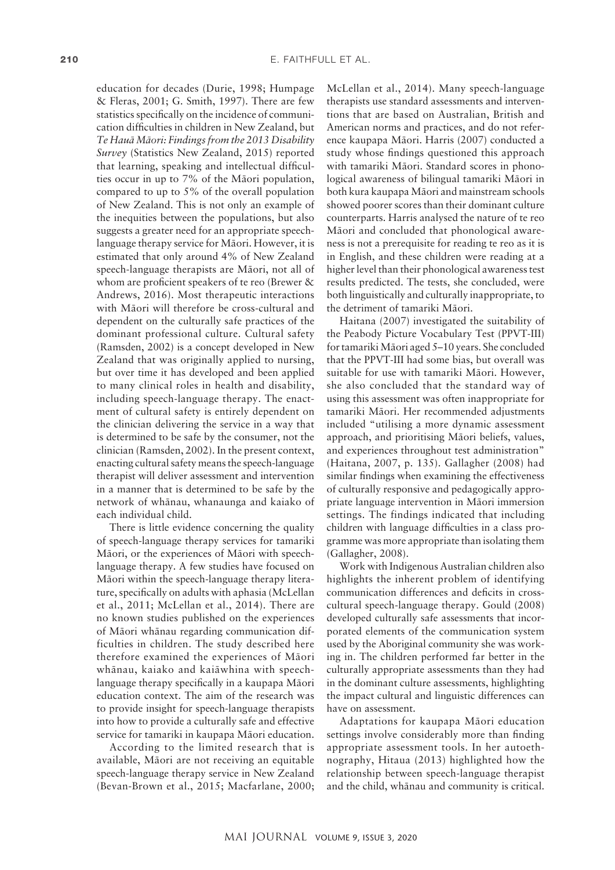education for decades (Durie, 1998; Humpage & Fleras, 2001; G. Smith, 1997). There are few statistics specifically on the incidence of communication difficulties in children in New Zealand, but *Te Hauä Mäori: Findings from the 2013 Disability Survey* (Statistics New Zealand, 2015) reported that learning, speaking and intellectual difficulties occur in up to 7% of the Mäori population, compared to up to 5% of the overall population of New Zealand. This is not only an example of the inequities between the populations, but also suggests a greater need for an appropriate speechlanguage therapy service for Mäori. However, it is estimated that only around 4% of New Zealand speech-language therapists are Mäori, not all of whom are proficient speakers of te reo (Brewer & Andrews, 2016). Most therapeutic interactions with Mäori will therefore be cross-cultural and dependent on the culturally safe practices of the dominant professional culture. Cultural safety (Ramsden, 2002) is a concept developed in New Zealand that was originally applied to nursing, but over time it has developed and been applied to many clinical roles in health and disability, including speech-language therapy. The enactment of cultural safety is entirely dependent on the clinician delivering the service in a way that is determined to be safe by the consumer, not the clinician (Ramsden, 2002). In the present context, enacting cultural safety means the speech-language therapist will deliver assessment and intervention in a manner that is determined to be safe by the network of whänau, whanaunga and kaiako of each individual child.

There is little evidence concerning the quality of speech-language therapy services for tamariki Mäori, or the experiences of Mäori with speechlanguage therapy. A few studies have focused on Mäori within the speech-language therapy literature, specifically on adults with aphasia (McLellan et al., 2011; McLellan et al., 2014). There are no known studies published on the experiences of Mäori whänau regarding communication difficulties in children. The study described here therefore examined the experiences of Mäori whänau, kaiako and kaiäwhina with speechlanguage therapy specifically in a kaupapa Mäori education context. The aim of the research was to provide insight for speech-language therapists into how to provide a culturally safe and effective service for tamariki in kaupapa Mäori education.

According to the limited research that is available, Mäori are not receiving an equitable speech-language therapy service in New Zealand (Bevan-Brown et al., 2015; Macfarlane, 2000;

McLellan et al., 2014). Many speech-language therapists use standard assessments and interventions that are based on Australian, British and American norms and practices, and do not reference kaupapa Mäori. Harris (2007) conducted a study whose findings questioned this approach with tamariki Mäori. Standard scores in phonological awareness of bilingual tamariki Mäori in both kura kaupapa Mäori and mainstream schools showed poorer scores than their dominant culture counterparts. Harris analysed the nature of te reo Mäori and concluded that phonological awareness is not a prerequisite for reading te reo as it is in English, and these children were reading at a higher level than their phonological awareness test results predicted. The tests, she concluded, were both linguistically and culturally inappropriate, to the detriment of tamariki Mäori.

Haitana (2007) investigated the suitability of the Peabody Picture Vocabulary Test (PPVT-III) for tamariki Mäori aged 5–10 years. She concluded that the PPVT-III had some bias, but overall was suitable for use with tamariki Mäori. However, she also concluded that the standard way of using this assessment was often inappropriate for tamariki Mäori. Her recommended adjustments included "utilising a more dynamic assessment approach, and prioritising Mäori beliefs, values, and experiences throughout test administration" (Haitana, 2007, p. 135). Gallagher (2008) had similar findings when examining the effectiveness of culturally responsive and pedagogically appropriate language intervention in Mäori immersion settings. The findings indicated that including children with language difficulties in a class programme was more appropriate than isolating them (Gallagher, 2008).

Work with Indigenous Australian children also highlights the inherent problem of identifying communication differences and deficits in crosscultural speech-language therapy. Gould (2008) developed culturally safe assessments that incorporated elements of the communication system used by the Aboriginal community she was working in. The children performed far better in the culturally appropriate assessments than they had in the dominant culture assessments, highlighting the impact cultural and linguistic differences can have on assessment.

Adaptations for kaupapa Mäori education settings involve considerably more than finding appropriate assessment tools. In her autoethnography, Hitaua (2013) highlighted how the relationship between speech-language therapist and the child, whänau and community is critical.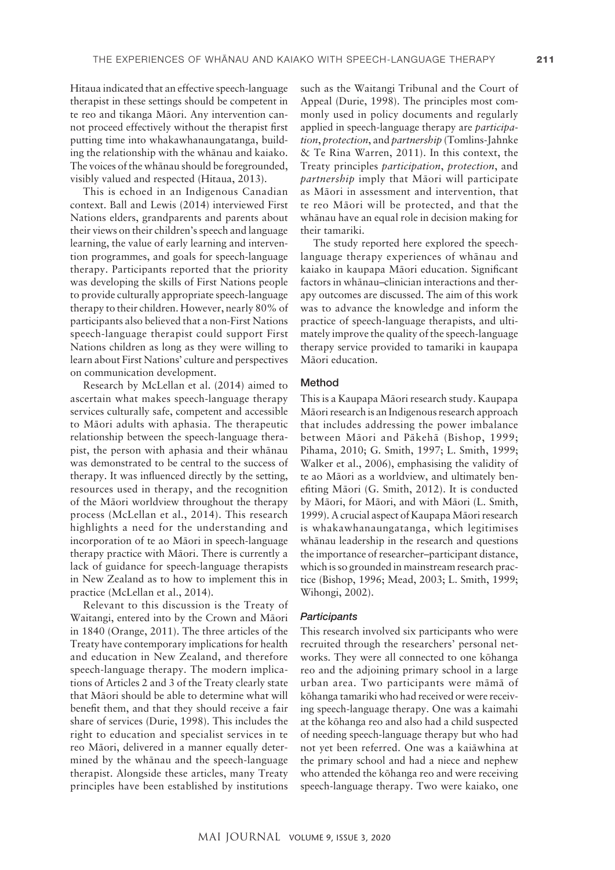Hitaua indicated that an effective speech-language therapist in these settings should be competent in te reo and tikanga Mäori. Any intervention cannot proceed effectively without the therapist first putting time into whakawhanaungatanga, building the relationship with the whänau and kaiako. The voices of the whänau should be foregrounded, visibly valued and respected (Hitaua, 2013).

This is echoed in an Indigenous Canadian context. Ball and Lewis (2014) interviewed First Nations elders, grandparents and parents about their views on their children's speech and language learning, the value of early learning and intervention programmes, and goals for speech-language therapy. Participants reported that the priority was developing the skills of First Nations people to provide culturally appropriate speech-language therapy to their children. However, nearly 80% of participants also believed that a non-First Nations speech-language therapist could support First Nations children as long as they were willing to learn about First Nations' culture and perspectives on communication development.

Research by McLellan et al. (2014) aimed to ascertain what makes speech-language therapy services culturally safe, competent and accessible to Mäori adults with aphasia. The therapeutic relationship between the speech-language therapist, the person with aphasia and their whänau was demonstrated to be central to the success of therapy. It was influenced directly by the setting, resources used in therapy, and the recognition of the Mäori worldview throughout the therapy process (McLellan et al., 2014). This research highlights a need for the understanding and incorporation of te ao Mäori in speech-language therapy practice with Mäori. There is currently a lack of guidance for speech-language therapists in New Zealand as to how to implement this in practice (McLellan et al., 2014).

Relevant to this discussion is the Treaty of Waitangi, entered into by the Crown and Mäori in 1840 (Orange, 2011). The three articles of the Treaty have contemporary implications for health and education in New Zealand, and therefore speech-language therapy. The modern implications of Articles 2 and 3 of the Treaty clearly state that Mäori should be able to determine what will benefit them, and that they should receive a fair share of services (Durie, 1998). This includes the right to education and specialist services in te reo Mäori, delivered in a manner equally determined by the whänau and the speech-language therapist. Alongside these articles, many Treaty principles have been established by institutions

such as the Waitangi Tribunal and the Court of Appeal (Durie, 1998). The principles most commonly used in policy documents and regularly applied in speech-language therapy are *participation*, *protection*, and *partnership* (Tomlins-Jahnke & Te Rina Warren, 2011). In this context, the Treaty principles *participation*, *protection*, and *partnership* imply that Mäori will participate as Mäori in assessment and intervention, that te reo Mäori will be protected, and that the whänau have an equal role in decision making for their tamariki.

The study reported here explored the speechlanguage therapy experiences of whänau and kaiako in kaupapa Mäori education. Significant factors in whänau–clinician interactions and therapy outcomes are discussed. The aim of this work was to advance the knowledge and inform the practice of speech-language therapists, and ultimately improve the quality of the speech-language therapy service provided to tamariki in kaupapa Mäori education.

## Method

This is a Kaupapa Mäori research study. Kaupapa Mäori research is an Indigenous research approach that includes addressing the power imbalance between Mäori and Päkehä (Bishop, 1999; Pihama, 2010; G. Smith, 1997; L. Smith, 1999; Walker et al., 2006), emphasising the validity of te ao Mäori as a worldview, and ultimately benefiting Mäori (G. Smith, 2012). It is conducted by Mäori, for Mäori, and with Mäori (L. Smith, 1999). A crucial aspect of Kaupapa Mäori research is whakawhanaungatanga, which legitimises whänau leadership in the research and questions the importance of researcher–participant distance, which is so grounded in mainstream research practice (Bishop, 1996; Mead, 2003; L. Smith, 1999; Wihongi, 2002).

#### *Participants*

This research involved six participants who were recruited through the researchers' personal networks. They were all connected to one köhanga reo and the adjoining primary school in a large urban area. Two participants were mämä of köhanga tamariki who had received or were receiving speech-language therapy. One was a kaimahi at the köhanga reo and also had a child suspected of needing speech-language therapy but who had not yet been referred. One was a kaiäwhina at the primary school and had a niece and nephew who attended the köhanga reo and were receiving speech-language therapy. Two were kaiako, one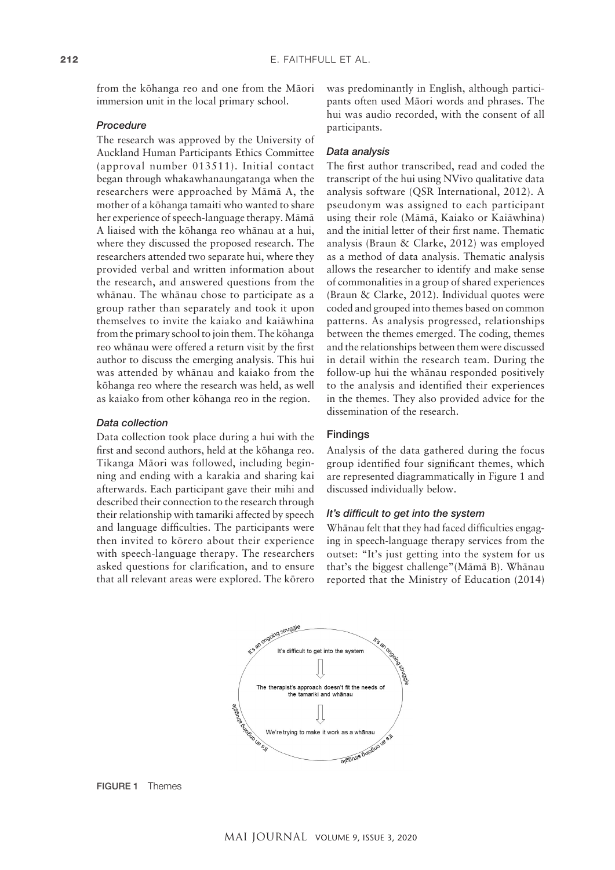from the köhanga reo and one from the Mäori immersion unit in the local primary school.

### *Procedure*

The research was approved by the University of Auckland Human Participants Ethics Committee (approval number 013511). Initial contact began through whakawhanaungatanga when the researchers were approached by Mämä A, the mother of a köhanga tamaiti who wanted to share her experience of speech-language therapy. Mämä A liaised with the köhanga reo whänau at a hui, where they discussed the proposed research. The researchers attended two separate hui, where they provided verbal and written information about the research, and answered questions from the whänau. The whänau chose to participate as a group rather than separately and took it upon themselves to invite the kaiako and kaiäwhina from the primary school to join them. The köhanga reo whänau were offered a return visit by the first author to discuss the emerging analysis. This hui was attended by whänau and kaiako from the köhanga reo where the research was held, as well as kaiako from other köhanga reo in the region.

#### *Data collection*

Data collection took place during a hui with the first and second authors, held at the köhanga reo. Tikanga Mäori was followed, including beginning and ending with a karakia and sharing kai afterwards. Each participant gave their mihi and described their connection to the research through their relationship with tamariki affected by speech and language difficulties. The participants were then invited to körero about their experience with speech-language therapy. The researchers asked questions for clarification, and to ensure that all relevant areas were explored. The körero

was predominantly in English, although participants often used Mäori words and phrases. The hui was audio recorded, with the consent of all participants.

#### *Data analysis*

The first author transcribed, read and coded the transcript of the hui using NVivo qualitative data analysis software (QSR International, 2012). A pseudonym was assigned to each participant using their role (Mämä, Kaiako or Kaiäwhina) and the initial letter of their first name. Thematic analysis (Braun & Clarke, 2012) was employed as a method of data analysis. Thematic analysis allows the researcher to identify and make sense of commonalities in a group of shared experiences (Braun & Clarke, 2012). Individual quotes were coded and grouped into themes based on common patterns. As analysis progressed, relationships between the themes emerged. The coding, themes and the relationships between them were discussed in detail within the research team. During the follow-up hui the whänau responded positively to the analysis and identified their experiences in the themes. They also provided advice for the dissemination of the research.

## Findings

Analysis of the data gathered during the focus group identified four significant themes, which are represented diagrammatically in Figure 1 and discussed individually below.

## *It's difficult to get into the system*

Whänau felt that they had faced difficulties engaging in speech-language therapy services from the outset: "It's just getting into the system for us that's the biggest challenge"(Mämä B). Whänau reported that the Ministry of Education (2014)



FIGURE 1 Themes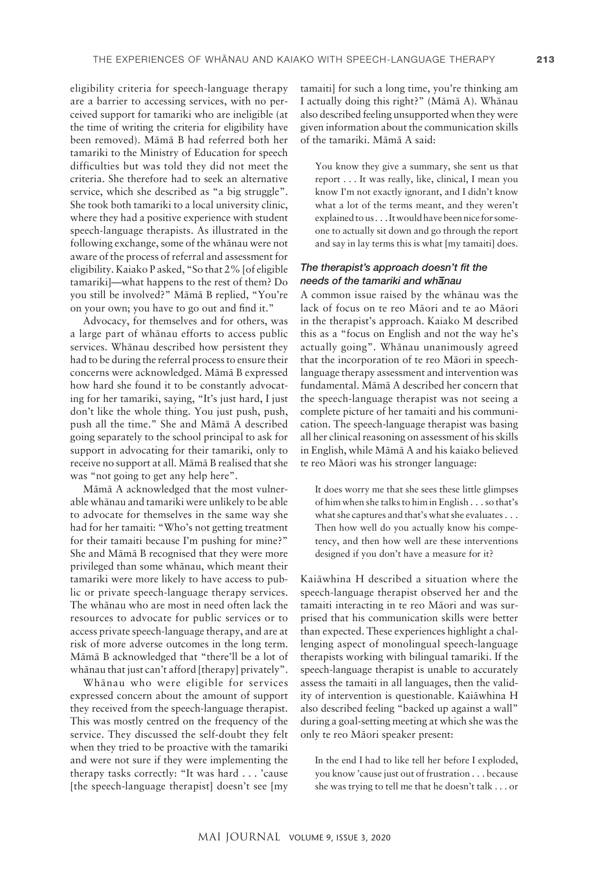eligibility criteria for speech-language therapy are a barrier to accessing services, with no perceived support for tamariki who are ineligible (at the time of writing the criteria for eligibility have been removed). Mämä B had referred both her tamariki to the Ministry of Education for speech difficulties but was told they did not meet the criteria. She therefore had to seek an alternative service, which she described as "a big struggle". She took both tamariki to a local university clinic, where they had a positive experience with student speech-language therapists. As illustrated in the following exchange, some of the whänau were not aware of the process of referral and assessment for eligibility. Kaiako P asked, "So that 2% [of eligible tamariki]—what happens to the rest of them? Do you still be involved?" Mämä B replied, "You're on your own; you have to go out and find it."

Advocacy, for themselves and for others, was a large part of whänau efforts to access public services. Whänau described how persistent they had to be during the referral process to ensure their concerns were acknowledged. Mämä B expressed how hard she found it to be constantly advocating for her tamariki, saying, "It's just hard, I just don't like the whole thing. You just push, push, push all the time." She and Mämä A described going separately to the school principal to ask for support in advocating for their tamariki, only to receive no support at all. Mämä B realised that she was "not going to get any help here".

Mämä A acknowledged that the most vulnerable whänau and tamariki were unlikely to be able to advocate for themselves in the same way she had for her tamaiti: "Who's not getting treatment for their tamaiti because I'm pushing for mine?" She and Mämä B recognised that they were more privileged than some whänau, which meant their tamariki were more likely to have access to public or private speech-language therapy services. The whänau who are most in need often lack the resources to advocate for public services or to access private speech-language therapy, and are at risk of more adverse outcomes in the long term. Mämä B acknowledged that "there'll be a lot of whänau that just can't afford [therapy] privately".

Whänau who were eligible for services expressed concern about the amount of support they received from the speech-language therapist. This was mostly centred on the frequency of the service. They discussed the self-doubt they felt when they tried to be proactive with the tamariki and were not sure if they were implementing the therapy tasks correctly: "It was hard . . . 'cause [the speech-language therapist] doesn't see [my tamaiti] for such a long time, you're thinking am I actually doing this right?" (Mämä A). Whänau also described feeling unsupported when they were given information about the communication skills of the tamariki. Mämä A said:

You know they give a summary, she sent us that report . . . It was really, like, clinical, I mean you know I'm not exactly ignorant, and I didn't know what a lot of the terms meant, and they weren't explained to us . . . It would have been nice for someone to actually sit down and go through the report and say in lay terms this is what [my tamaiti] does.

## *The therapist's approach doesn't fit the needs of the tamariki and wh– anau*

A common issue raised by the whänau was the lack of focus on te reo Mäori and te ao Mäori in the therapist's approach. Kaiako M described this as a "focus on English and not the way he's actually going". Whänau unanimously agreed that the incorporation of te reo Mäori in speechlanguage therapy assessment and intervention was fundamental. Mämä A described her concern that the speech-language therapist was not seeing a complete picture of her tamaiti and his communication. The speech-language therapist was basing all her clinical reasoning on assessment of his skills in English, while Mämä A and his kaiako believed te reo Mäori was his stronger language:

It does worry me that she sees these little glimpses of him when she talks to him in English . . . so that's what she captures and that's what she evaluates . . . Then how well do you actually know his competency, and then how well are these interventions designed if you don't have a measure for it?

Kaiäwhina H described a situation where the speech-language therapist observed her and the tamaiti interacting in te reo Mäori and was surprised that his communication skills were better than expected. These experiences highlight a challenging aspect of monolingual speech-language therapists working with bilingual tamariki. If the speech-language therapist is unable to accurately assess the tamaiti in all languages, then the validity of intervention is questionable. Kaiäwhina H also described feeling "backed up against a wall" during a goal-setting meeting at which she was the only te reo Mäori speaker present:

In the end I had to like tell her before I exploded, you know 'cause just out of frustration . . . because she was trying to tell me that he doesn't talk . . . or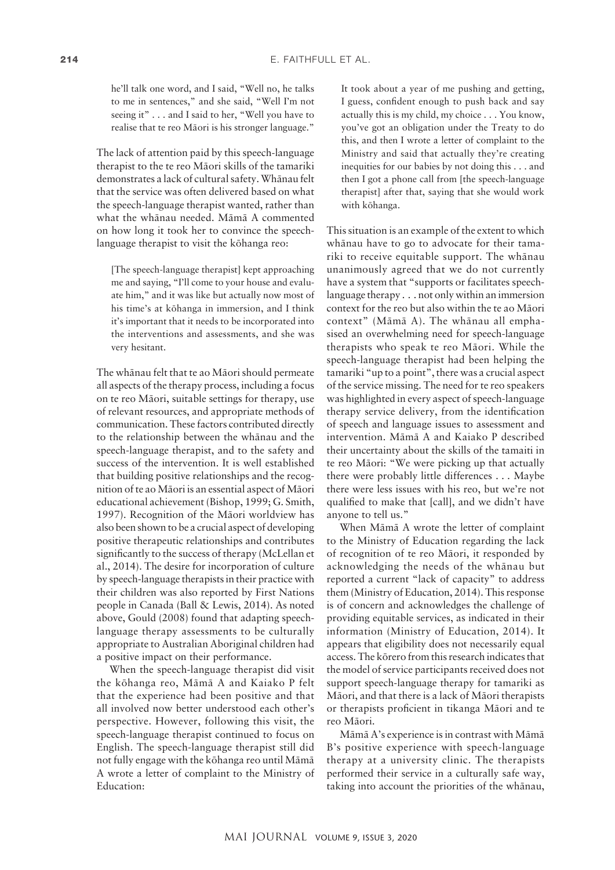he'll talk one word, and I said, "Well no, he talks to me in sentences," and she said, "Well I'm not seeing it" . . . and I said to her, "Well you have to realise that te reo Mäori is his stronger language."

The lack of attention paid by this speech-language therapist to the te reo Mäori skills of the tamariki demonstrates a lack of cultural safety. Whänau felt that the service was often delivered based on what the speech-language therapist wanted, rather than what the whänau needed. Mämä A commented on how long it took her to convince the speechlanguage therapist to visit the köhanga reo:

[The speech-language therapist] kept approaching me and saying, "I'll come to your house and evaluate him," and it was like but actually now most of his time's at köhanga in immersion, and I think it's important that it needs to be incorporated into the interventions and assessments, and she was very hesitant.

The whänau felt that te ao Mäori should permeate all aspects of the therapy process, including a focus on te reo Mäori, suitable settings for therapy, use of relevant resources, and appropriate methods of communication. These factors contributed directly to the relationship between the whänau and the speech-language therapist, and to the safety and success of the intervention. It is well established that building positive relationships and the recognition of te ao Mäori is an essential aspect of Mäori educational achievement (Bishop, 1999; G. Smith, 1997). Recognition of the Mäori worldview has also been shown to be a crucial aspect of developing positive therapeutic relationships and contributes significantly to the success of therapy (McLellan et al., 2014). The desire for incorporation of culture by speech-language therapists in their practice with their children was also reported by First Nations people in Canada (Ball & Lewis, 2014). As noted above, Gould (2008) found that adapting speechlanguage therapy assessments to be culturally appropriate to Australian Aboriginal children had a positive impact on their performance.

When the speech-language therapist did visit the köhanga reo, Mämä A and Kaiako P felt that the experience had been positive and that all involved now better understood each other's perspective. However, following this visit, the speech-language therapist continued to focus on English. The speech-language therapist still did not fully engage with the köhanga reo until Mämä A wrote a letter of complaint to the Ministry of Education:

It took about a year of me pushing and getting, I guess, confident enough to push back and say actually this is my child, my choice . . . You know, you've got an obligation under the Treaty to do this, and then I wrote a letter of complaint to the Ministry and said that actually they're creating inequities for our babies by not doing this . . . and then I got a phone call from [the speech-language therapist] after that, saying that she would work with köhanga.

This situation is an example of the extent to which whänau have to go to advocate for their tamariki to receive equitable support. The whänau unanimously agreed that we do not currently have a system that "supports or facilitates speechlanguage therapy . . . not only within an immersion context for the reo but also within the te ao Mäori context" (Mämä A). The whänau all emphasised an overwhelming need for speech-language therapists who speak te reo Mäori. While the speech-language therapist had been helping the tamariki "up to a point", there was a crucial aspect of the service missing. The need for te reo speakers was highlighted in every aspect of speech-language therapy service delivery, from the identification of speech and language issues to assessment and intervention. Mämä A and Kaiako P described their uncertainty about the skills of the tamaiti in te reo Mäori: "We were picking up that actually there were probably little differences . . . Maybe there were less issues with his reo, but we're not qualified to make that [call], and we didn't have anyone to tell us."

When Mämä A wrote the letter of complaint to the Ministry of Education regarding the lack of recognition of te reo Mäori, it responded by acknowledging the needs of the whänau but reported a current "lack of capacity" to address them (Ministry of Education, 2014). This response is of concern and acknowledges the challenge of providing equitable services, as indicated in their information (Ministry of Education, 2014). It appears that eligibility does not necessarily equal access. The körero from this research indicates that the model of service participants received does not support speech-language therapy for tamariki as Mäori, and that there is a lack of Mäori therapists or therapists proficient in tikanga Mäori and te reo Mäori.

Mämä A's experience is in contrast with Mämä B's positive experience with speech-language therapy at a university clinic. The therapists performed their service in a culturally safe way, taking into account the priorities of the whänau,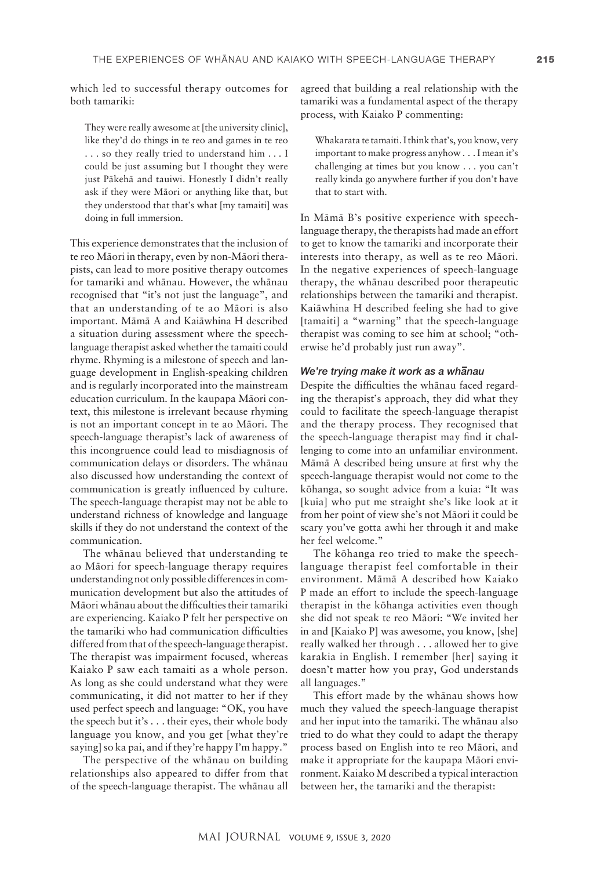which led to successful therapy outcomes for both tamariki:

They were really awesome at [the university clinic], like they'd do things in te reo and games in te reo . . . so they really tried to understand him . . . I could be just assuming but I thought they were just Päkehä and tauiwi. Honestly I didn't really ask if they were Mäori or anything like that, but they understood that that's what [my tamaiti] was doing in full immersion.

This experience demonstrates that the inclusion of te reo Mäori in therapy, even by non-Mäori therapists, can lead to more positive therapy outcomes for tamariki and whänau. However, the whänau recognised that "it's not just the language", and that an understanding of te ao Mäori is also important. Mämä A and Kaiäwhina H described a situation during assessment where the speechlanguage therapist asked whether the tamaiti could rhyme. Rhyming is a milestone of speech and language development in English-speaking children and is regularly incorporated into the mainstream education curriculum. In the kaupapa Mäori context, this milestone is irrelevant because rhyming is not an important concept in te ao Mäori. The speech-language therapist's lack of awareness of this incongruence could lead to misdiagnosis of communication delays or disorders. The whänau also discussed how understanding the context of communication is greatly influenced by culture. The speech-language therapist may not be able to understand richness of knowledge and language skills if they do not understand the context of the communication.

The whänau believed that understanding te ao Mäori for speech-language therapy requires understanding not only possible differences in communication development but also the attitudes of Mäori whänau about the difficulties their tamariki are experiencing. Kaiako P felt her perspective on the tamariki who had communication difficulties differed from that of the speech-language therapist. The therapist was impairment focused, whereas Kaiako P saw each tamaiti as a whole person. As long as she could understand what they were communicating, it did not matter to her if they used perfect speech and language: "OK, you have the speech but it's . . . their eyes, their whole body language you know, and you get [what they're saying] so ka pai, and if they're happy I'm happy."

The perspective of the whänau on building relationships also appeared to differ from that of the speech-language therapist. The whänau all agreed that building a real relationship with the tamariki was a fundamental aspect of the therapy process, with Kaiako P commenting:

Whakarata te tamaiti. I think that's, you know, very important to make progress anyhow . . . I mean it's challenging at times but you know . . . you can't really kinda go anywhere further if you don't have that to start with.

In Mämä B's positive experience with speechlanguage therapy, the therapists had made an effort to get to know the tamariki and incorporate their interests into therapy, as well as te reo Mäori. In the negative experiences of speech-language therapy, the whänau described poor therapeutic relationships between the tamariki and therapist. Kaiäwhina H described feeling she had to give [tamaiti] a "warning" that the speech-language therapist was coming to see him at school; "otherwise he'd probably just run away".

## *We're trying make it work as a wh– anau*

Despite the difficulties the whänau faced regarding the therapist's approach, they did what they could to facilitate the speech-language therapist and the therapy process. They recognised that the speech-language therapist may find it challenging to come into an unfamiliar environment. Mämä A described being unsure at first why the speech-language therapist would not come to the köhanga, so sought advice from a kuia: "It was [kuia] who put me straight she's like look at it from her point of view she's not Mäori it could be scary you've gotta awhi her through it and make her feel welcome."

The köhanga reo tried to make the speechlanguage therapist feel comfortable in their environment. Mämä A described how Kaiako P made an effort to include the speech-language therapist in the köhanga activities even though she did not speak te reo Mäori: "We invited her in and [Kaiako P] was awesome, you know, [she] really walked her through . . . allowed her to give karakia in English. I remember [her] saying it doesn't matter how you pray, God understands all languages."

This effort made by the whänau shows how much they valued the speech-language therapist and her input into the tamariki. The whänau also tried to do what they could to adapt the therapy process based on English into te reo Mäori, and make it appropriate for the kaupapa Mäori environment. Kaiako M described a typical interaction between her, the tamariki and the therapist: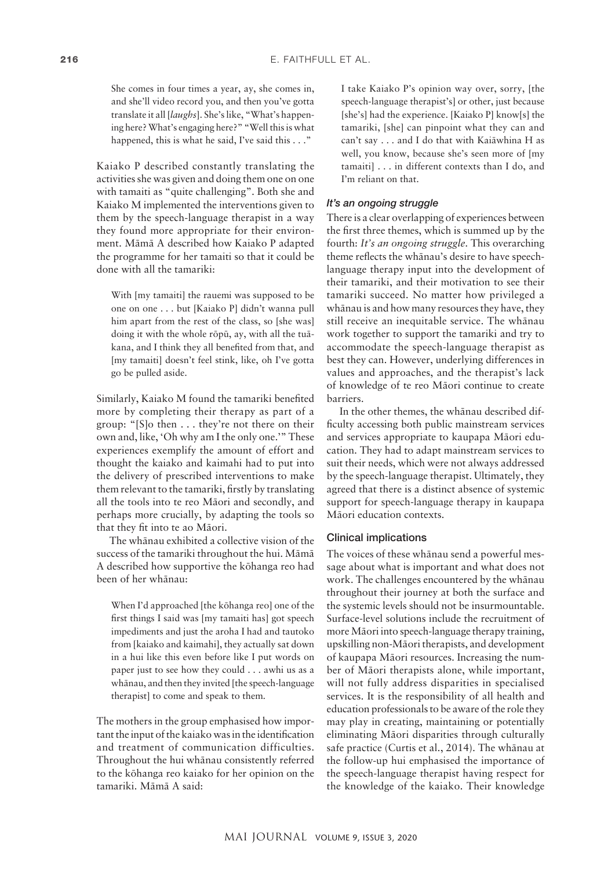She comes in four times a year, ay, she comes in, and she'll video record you, and then you've gotta translate it all [*laughs*]. She's like, "What's happening here? What's engaging here?" "Well this is what happened, this is what he said, I've said this . . ."

Kaiako P described constantly translating the activities she was given and doing them one on one with tamaiti as "quite challenging". Both she and Kaiako M implemented the interventions given to them by the speech-language therapist in a way they found more appropriate for their environment. Mämä A described how Kaiako P adapted the programme for her tamaiti so that it could be done with all the tamariki:

With [my tamaiti] the rauemi was supposed to be one on one . . . but [Kaiako P] didn't wanna pull him apart from the rest of the class, so [she was] doing it with the whole röpü, ay, with all the tuäkana, and I think they all benefited from that, and [my tamaiti] doesn't feel stink, like, oh I've gotta go be pulled aside.

Similarly, Kaiako M found the tamariki benefited more by completing their therapy as part of a group: "[S]o then . . . they're not there on their own and, like, 'Oh why am I the only one.'" These experiences exemplify the amount of effort and thought the kaiako and kaimahi had to put into the delivery of prescribed interventions to make them relevant to the tamariki, firstly by translating all the tools into te reo Mäori and secondly, and perhaps more crucially, by adapting the tools so that they fit into te ao Mäori.

The whänau exhibited a collective vision of the success of the tamariki throughout the hui. Mämä A described how supportive the köhanga reo had been of her whänau:

When I'd approached [the köhanga reo] one of the first things I said was [my tamaiti has] got speech impediments and just the aroha I had and tautoko from [kaiako and kaimahi], they actually sat down in a hui like this even before like I put words on paper just to see how they could . . . awhi us as a whänau, and then they invited [the speech-language therapist] to come and speak to them.

The mothers in the group emphasised how important the input of the kaiako was in the identification and treatment of communication difficulties. Throughout the hui whänau consistently referred to the köhanga reo kaiako for her opinion on the tamariki. Mämä A said:

I take Kaiako P's opinion way over, sorry, [the speech-language therapist's] or other, just because [she's] had the experience. [Kaiako P] know[s] the tamariki, [she] can pinpoint what they can and can't say . . . and I do that with Kaiäwhina H as well, you know, because she's seen more of [my tamaiti] . . . in different contexts than I do, and I'm reliant on that.

### *It's an ongoing struggle*

There is a clear overlapping of experiences between the first three themes, which is summed up by the fourth: *It's an ongoing struggle*. This overarching theme reflects the whänau's desire to have speechlanguage therapy input into the development of their tamariki, and their motivation to see their tamariki succeed. No matter how privileged a whänau is and how many resources they have, they still receive an inequitable service. The whänau work together to support the tamariki and try to accommodate the speech-language therapist as best they can. However, underlying differences in values and approaches, and the therapist's lack of knowledge of te reo Mäori continue to create barriers.

In the other themes, the whänau described difficulty accessing both public mainstream services and services appropriate to kaupapa Mäori education. They had to adapt mainstream services to suit their needs, which were not always addressed by the speech-language therapist. Ultimately, they agreed that there is a distinct absence of systemic support for speech-language therapy in kaupapa Mäori education contexts.

#### Clinical implications

The voices of these whänau send a powerful message about what is important and what does not work. The challenges encountered by the whänau throughout their journey at both the surface and the systemic levels should not be insurmountable. Surface-level solutions include the recruitment of more Mäori into speech-language therapy training, upskilling non-Mäori therapists, and development of kaupapa Mäori resources. Increasing the number of Mäori therapists alone, while important, will not fully address disparities in specialised services. It is the responsibility of all health and education professionals to be aware of the role they may play in creating, maintaining or potentially eliminating Mäori disparities through culturally safe practice (Curtis et al., 2014). The whänau at the follow-up hui emphasised the importance of the speech-language therapist having respect for the knowledge of the kaiako. Their knowledge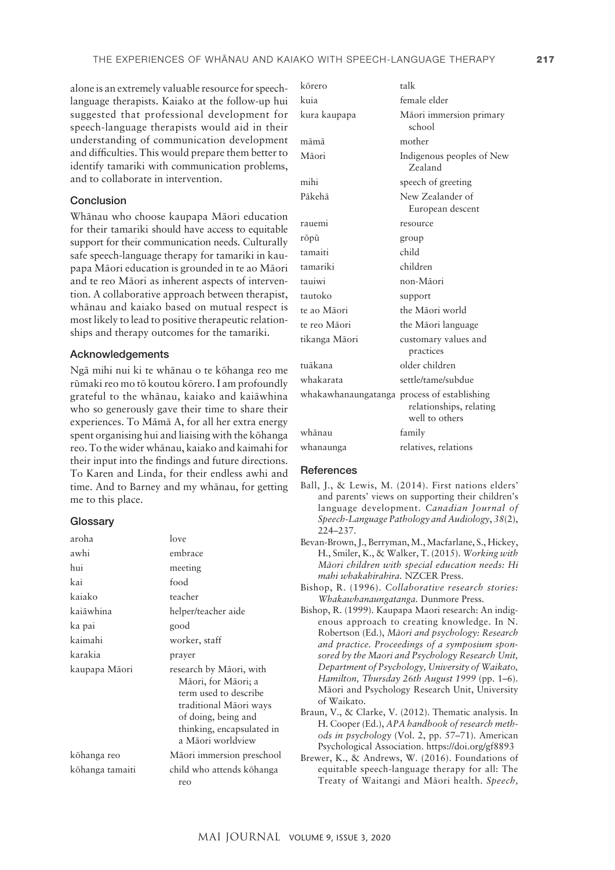alone is an extremely valuable resource for speechlanguage therapists. Kaiako at the follow-up hui suggested that professional development for speech-language therapists would aid in their understanding of communication development and difficulties. This would prepare them better to identify tamariki with communication problems, and to collaborate in intervention.

## Conclusion

Whänau who choose kaupapa Mäori education for their tamariki should have access to equitable support for their communication needs. Culturally safe speech-language therapy for tamariki in kaupapa Mäori education is grounded in te ao Mäori and te reo Mäori as inherent aspects of intervention. A collaborative approach between therapist, whänau and kaiako based on mutual respect is most likely to lead to positive therapeutic relationships and therapy outcomes for the tamariki.

#### Acknowledgements

Ngä mihi nui ki te whänau o te köhanga reo me rümaki reo mo tö koutou körero. I am profoundly grateful to the whänau, kaiako and kaiäwhina who so generously gave their time to share their experiences. To Mämä A, for all her extra energy spent organising hui and liaising with the köhanga reo. To the wider whänau, kaiako and kaimahi for their input into the findings and future directions. To Karen and Linda, for their endless awhi and time. And to Barney and my whänau, for getting me to this place.

#### **Glossary**

| aroha           | love                                                                                                                                                                       |
|-----------------|----------------------------------------------------------------------------------------------------------------------------------------------------------------------------|
| awhi            | embrace                                                                                                                                                                    |
| hui             | meeting                                                                                                                                                                    |
| kai             | food                                                                                                                                                                       |
| kajako          | teacher                                                                                                                                                                    |
| kaiāwhina       | helper/teacher aide                                                                                                                                                        |
| ka pai          | good                                                                                                                                                                       |
| kaimahi         | worker, staff                                                                                                                                                              |
| karakia         | prayer                                                                                                                                                                     |
| kaupapa Māori   | research by Māori, with<br>Māori, for Māori; a<br>term used to describe<br>traditional Māori ways<br>of doing, being and<br>thinking, encapsulated in<br>a Māori worldview |
| kõhanga reo     | Māori immersion preschool                                                                                                                                                  |
| kōhanga tamaiti | child who attends kõhanga<br>reo                                                                                                                                           |

| kōrero                                      | talk                                      |
|---------------------------------------------|-------------------------------------------|
| kuia                                        | female elder                              |
| kura kaupapa                                | Māori immersion primary<br>school         |
| māmā                                        | mother                                    |
| Māori                                       | Indigenous peoples of New<br>Zealand      |
| mihi                                        | speech of greeting                        |
| Pākehā                                      | New Zealander of<br>European descent      |
| rauemi                                      | resource                                  |
| rōpū                                        | group                                     |
| tamaiti                                     | child                                     |
| tamariki                                    | children                                  |
| taniwi                                      | non-Māori                                 |
| tautoko                                     | support                                   |
| te ao Māori                                 | the Māori world                           |
| te reo Māori                                | the Māori language                        |
| tikanga Māori                               | customary values and<br>practices         |
| tuākana                                     | older children                            |
| whakarata                                   | settle/tame/subdue                        |
| whakawhanaungatanga process of establishing | relationships, relating<br>well to others |
| whānau                                      | family                                    |
| whanaunga                                   | relatives, relations                      |
|                                             |                                           |

#### **References**

- Ball, J., & Lewis, M. (2014). First nations elders' and parents' views on supporting their children's language development. *Canadian Journal of Speech-Language Pathology and Audiology*, *38*(2), 224–237.
- Bevan-Brown, J., Berryman, M., Macfarlane, S., Hickey, H., Smiler, K., & Walker, T. (2015). *Working with Mäori children with special education needs: Hi mahi whakahirahira.* NZCER Press.
- Bishop, R. (1996). *Collaborative research stories: Whakawhanaungatanga.* Dunmore Press.
- Bishop, R. (1999). Kaupapa Maori research: An indigenous approach to creating knowledge. In N. Robertson (Ed.), *Mäori and psychology: Research and practice. Proceedings of a symposium sponsored by the Maori and Psychology Research Unit, Department of Psychology, University of Waikato, Hamilton, Thursday 26th August 1999* (pp. 1–6). Mäori and Psychology Research Unit, University of Waikato.
- Braun, V., & Clarke, V. (2012). Thematic analysis. In H. Cooper (Ed.), *APA handbook of research methods in psychology* (Vol. 2, pp. 57–71). American Psychological Association. <https://doi.org/gf8893>
- Brewer, K., & Andrews, W. (2016). Foundations of equitable speech-language therapy for all: The Treaty of Waitangi and Mäori health. *Speech,*